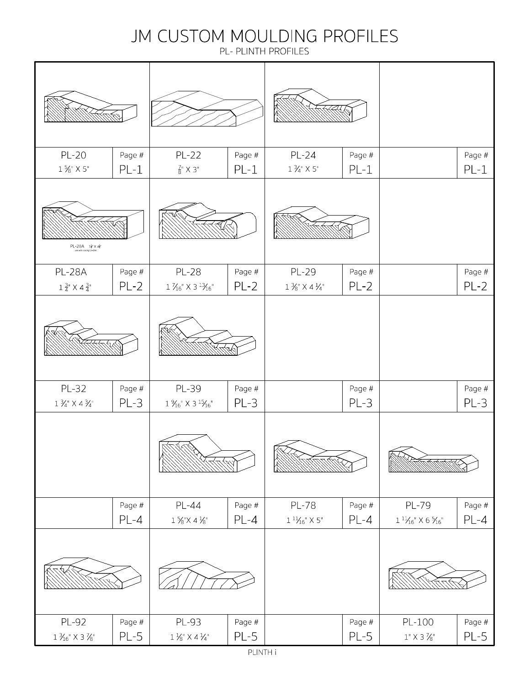#### JM CUSTOM MOULDING PROFILES

PL- PLINTH PROFILES

|                                                                                                          | KS.              |                                                                                                                                               |                  |                                                                     |                    |                                                                          |                  |
|----------------------------------------------------------------------------------------------------------|------------------|-----------------------------------------------------------------------------------------------------------------------------------------------|------------------|---------------------------------------------------------------------|--------------------|--------------------------------------------------------------------------|------------------|
| <b>PL-20</b><br>$1.5\%$ $\times$ $5"$                                                                    | Page #<br>$PL-1$ | <b>PL-22</b><br>$\frac{7}{8}$ " X 3"                                                                                                          | Page #<br>$PL-1$ | <b>PL-24</b><br>$1\,\mathrm{\AA}^\circ\times5^\circ$                | Page #<br>$PL-1$   |                                                                          | Page #<br>$PL-1$ |
| $\mathsf{PL}\text{-}28\mathsf{A}\ \ \mathsf{1}_4^{3\circ}\!\times\!4_4^{3\circ}$ ose with casing 04:28/. |                  |                                                                                                                                               |                  |                                                                     |                    |                                                                          |                  |
| <b>PL-28A</b><br>$1\,\frac{3}{4}$ " X $4\,\frac{3}{4}$ "                                                 | Page #<br>$PL-2$ | <b>PL-28</b><br>$1\mathrel{\%}_6$ " X 3 $^1\mathrel{\%}_6$ "                                                                                  | Page #<br>$PL-2$ | PL-29<br>$1\,\%$ " X 4 $\,\frac{1}{4}$ "                            | Page #<br>$PL-2$   |                                                                          | Page #<br>$PL-2$ |
|                                                                                                          |                  |                                                                                                                                               |                  |                                                                     |                    |                                                                          |                  |
| PL-32<br>$1\,\mathrm{\AA}^\mathrm{u}\times4\,\mathrm{\AA}^\mathrm{u}$                                    | Page #<br>$PL-3$ | PL-39<br>$1\,\%^{\scriptscriptstyle\rm o}\times$ 3 $^{\scriptscriptstyle 15}\hspace{-1mm}/_{\scriptscriptstyle 16}^{\scriptscriptstyle\rm o}$ | Page #<br>$PL-3$ |                                                                     | Page #<br>$PL-3$   |                                                                          | Page #<br>$PL-3$ |
|                                                                                                          |                  |                                                                                                                                               |                  |                                                                     |                    |                                                                          |                  |
|                                                                                                          | Page #<br>$PL-4$ | <b>PL-44</b><br>$1\,\%$ "X $4\,\%$ "                                                                                                          | Page #<br>$PL-4$ | <b>PL-78</b><br>$1\,{}^{11}\!\!\!\!\!\!\times_{{16}}$ " $\times$ 5" | Page $#$<br>$PL-4$ | PL-79<br>$1\,{}^{11}\!\!\!\!\!\!\times_{16}^{\mathstrut\prime}$ X 6 $\%$ | Page #<br>$PL-4$ |
|                                                                                                          |                  |                                                                                                                                               |                  |                                                                     |                    |                                                                          |                  |
| PL-92<br>$1\, \mathrm{\mathcal{H}_6}^\mathrm{u} \times 3\, \mathrm{\mathcal{V}_8}^\mathrm{u}$            | Page #<br>$PL-5$ | PL-93<br>$1\mathrel{\mathop{\not\!\!\!\!/\!\!\!\lbrack}}_8^{\rm m}\times 4\mathrel{\mathop{\not\!\!\!\!/\!\!\!\lbrack}}_4^{\rm m}$            | Page #<br>$PL-5$ |                                                                     | Page #<br>$PL-5$   | PL-100<br>$1\ensuremath{''} \times 3\mathrel{\%} \ensuremath{''}$        | Page #<br>$PL-5$ |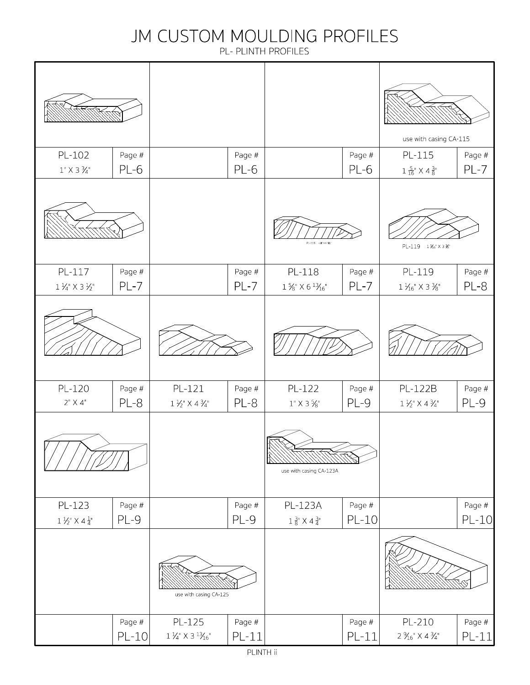#### JM CUSTOM MOULDING PROFILES

PL- PLINTH PROFILES

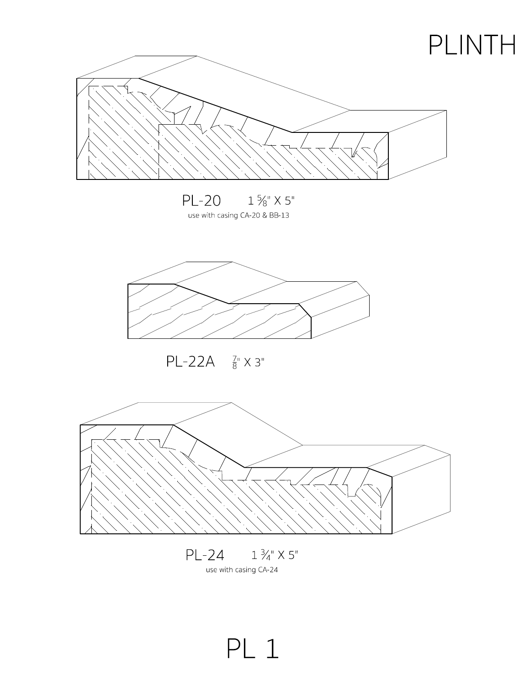

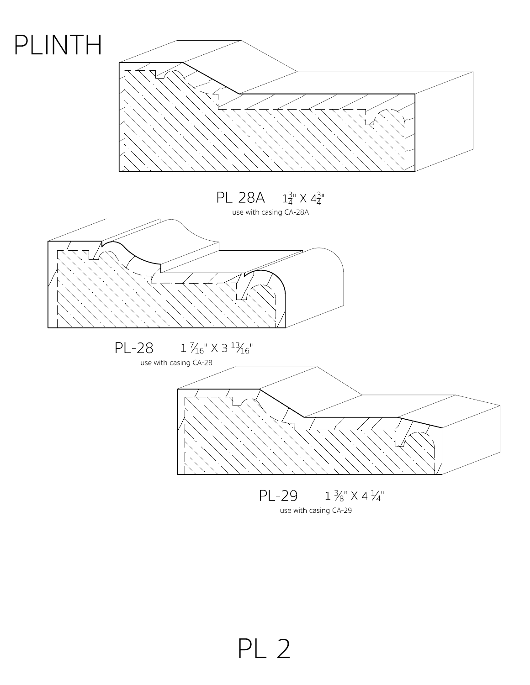

use with casing CA-29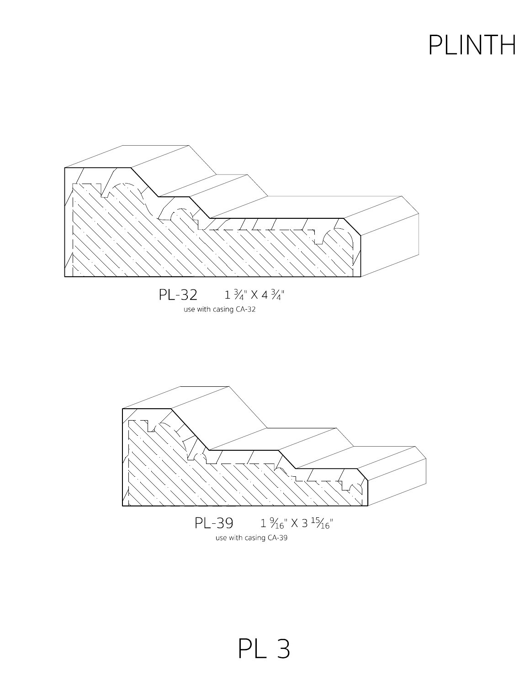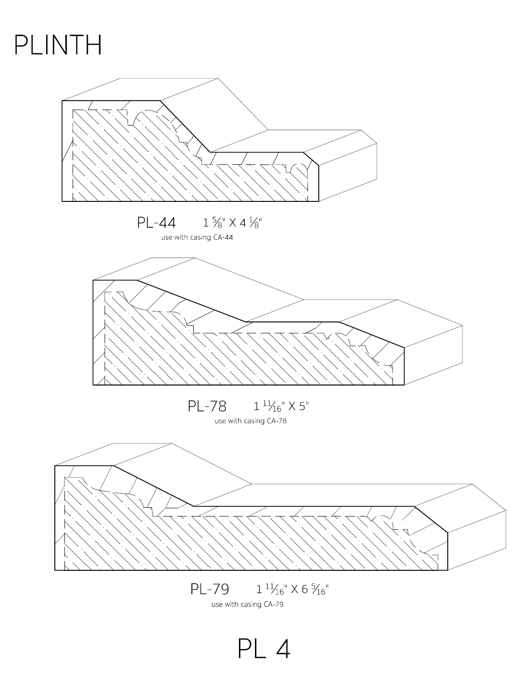



PL 4

use with casing CA-79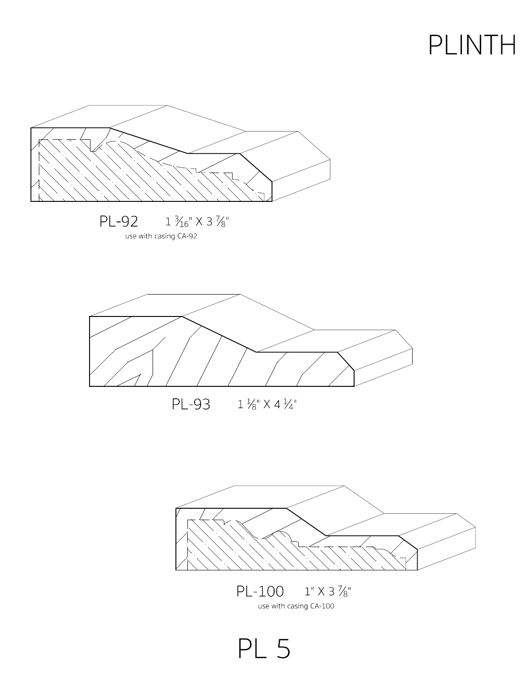



 $PL-100$   $1" X 3 \%$ use with casing CA-100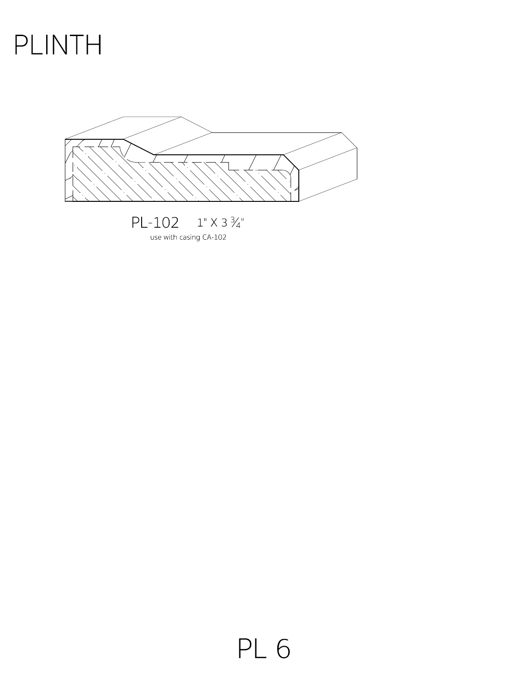

use with casing CA-102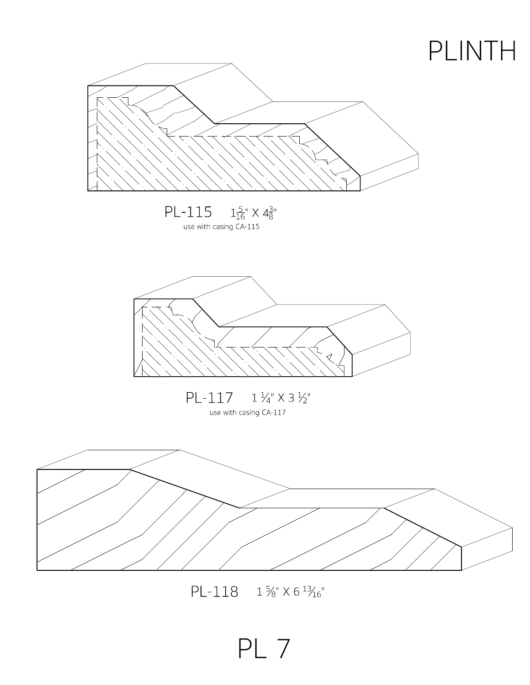

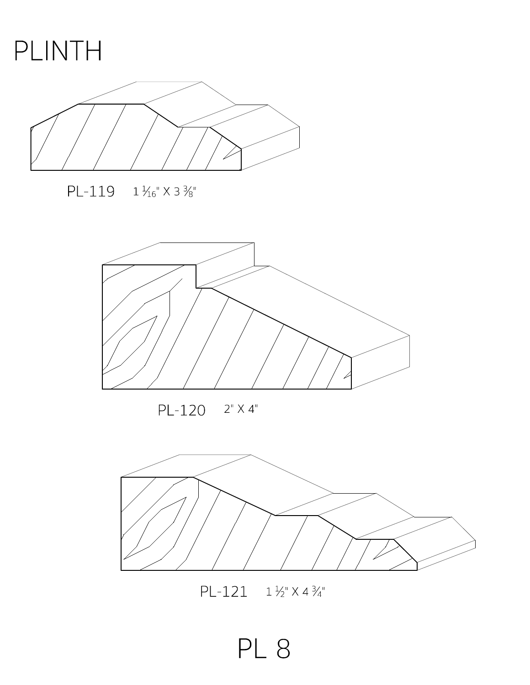



 $PL-119$   $1\frac{1}{16}$   $\times$  3  $\frac{3}{8}$ "



PL-120 2" X 4"



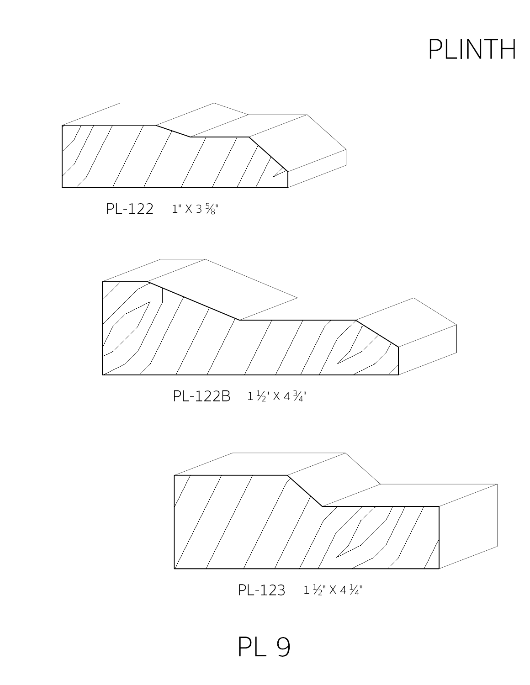





#### $PL-122B$   $1\frac{1}{2}$   $\times$   $4\frac{3}{4}$ "



 $PL-123$   $1\frac{1}{2}$   $\times$   $4\frac{1}{4}$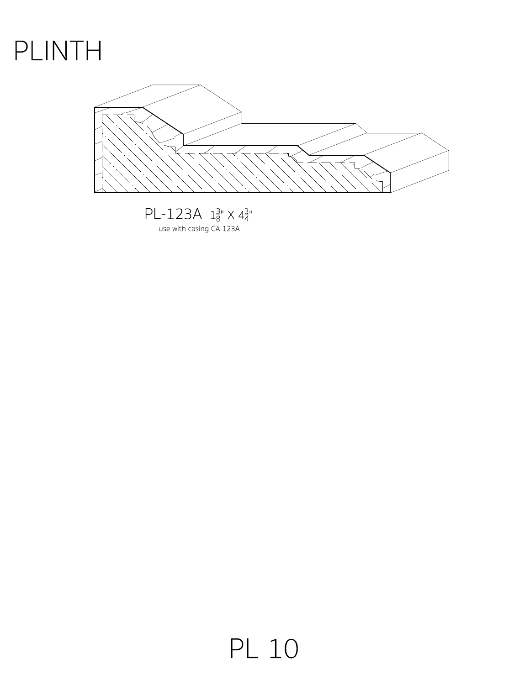

 $PL-123A$   $1^{\frac{3}{8}}$   $\times$   $4^{\frac{3}{4}}$ use with casing CA-123A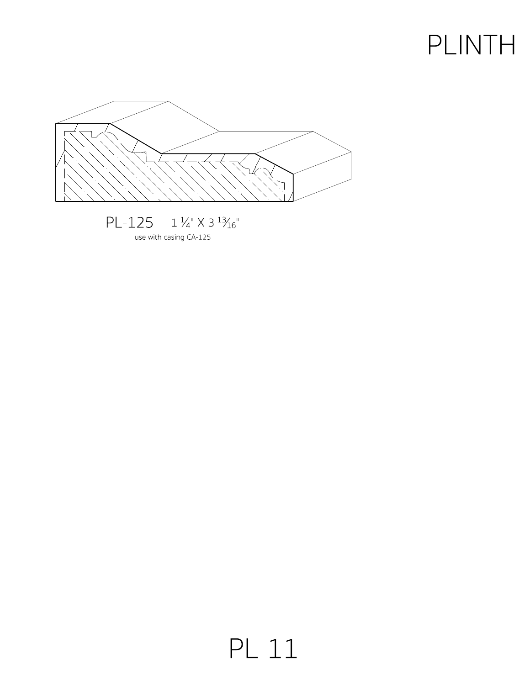